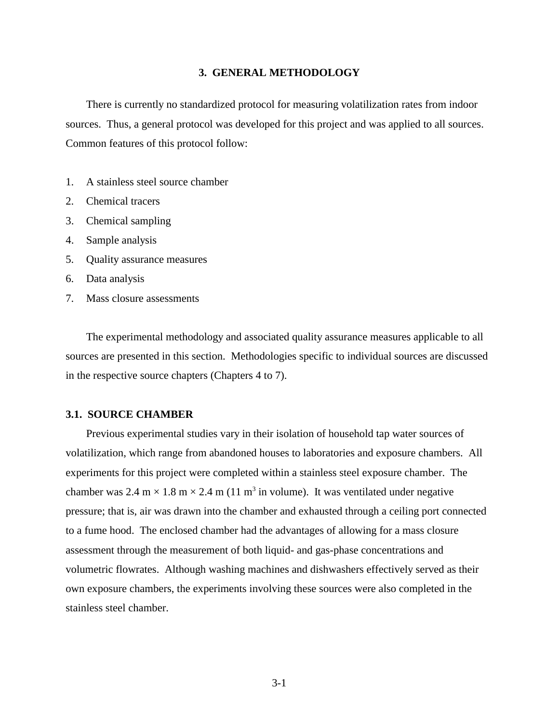# **3. GENERAL METHODOLOGY**

There is currently no standardized protocol for measuring volatilization rates from indoor sources. Thus, a general protocol was developed for this project and was applied to all sources. Common features of this protocol follow:

- 1. A stainless steel source chamber
- 2. Chemical tracers
- 3. Chemical sampling
- 4. Sample analysis
- 5. Quality assurance measures
- 6. Data analysis
- 7. Mass closure assessments

The experimental methodology and associated quality assurance measures applicable to all sources are presented in this section. Methodologies specific to individual sources are discussed in the respective source chapters (Chapters 4 to 7).

# **3.1. SOURCE CHAMBER**

Previous experimental studies vary in their isolation of household tap water sources of volatilization, which range from abandoned houses to laboratories and exposure chambers. All experiments for this project were completed within a stainless steel exposure chamber. The chamber was 2.4 m  $\times$  1.8 m  $\times$  2.4 m (11 m<sup>3</sup> in volume). It was ventilated under negative pressure; that is, air was drawn into the chamber and exhausted through a ceiling port connected to a fume hood. The enclosed chamber had the advantages of allowing for a mass closure assessment through the measurement of both liquid- and gas-phase concentrations and volumetric flowrates. Although washing machines and dishwashers effectively served as their own exposure chambers, the experiments involving these sources were also completed in the stainless steel chamber.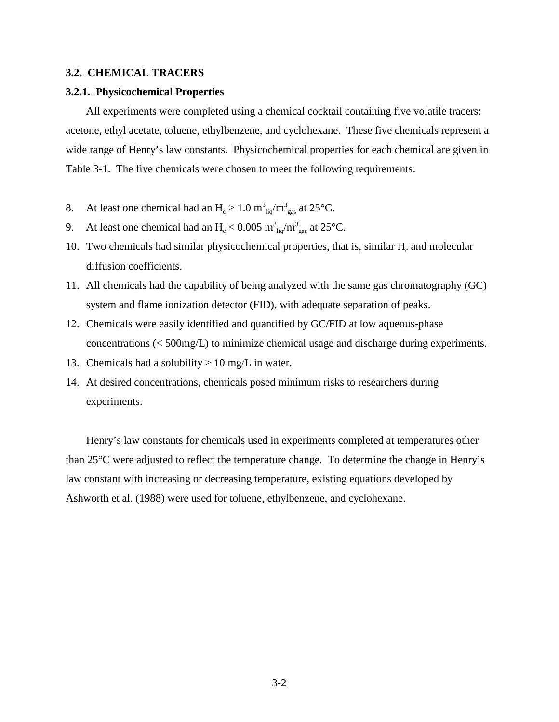## **3.2. CHEMICAL TRACERS**

# **3.2.1. Physicochemical Properties**

All experiments were completed using a chemical cocktail containing five volatile tracers: acetone, ethyl acetate, toluene, ethylbenzene, and cyclohexane. These five chemicals represent a wide range of Henry's law constants. Physicochemical properties for each chemical are given in Table 3-1. The five chemicals were chosen to meet the following requirements:

- 8. At least one chemical had an  $H_c > 1.0 \text{ m}^3$   $_{\text{liq}}/\text{m}^3$  at 25°C.
- 9. At least one chemical had an  $H_c < 0.005 \text{ m}^3$ <sub>liq</sub>/m<sup>3</sup><sub>gas</sub> at 25<sup>o</sup>C.
- 10. Two chemicals had similar physicochemical properties, that is, similar  $H_c$  and molecular diffusion coefficients.
- 11. All chemicals had the capability of being analyzed with the same gas chromatography (GC) system and flame ionization detector (FID), with adequate separation of peaks.
- 12. Chemicals were easily identified and quantified by GC/FID at low aqueous-phase concentrations (< 500mg/L) to minimize chemical usage and discharge during experiments.
- 13. Chemicals had a solubility  $> 10$  mg/L in water.
- 14. At desired concentrations, chemicals posed minimum risks to researchers during experiments.

Henry's law constants for chemicals used in experiments completed at temperatures other than 25°C were adjusted to reflect the temperature change. To determine the change in Henry's law constant with increasing or decreasing temperature, existing equations developed by Ashworth et al. (1988) were used for toluene, ethylbenzene, and cyclohexane.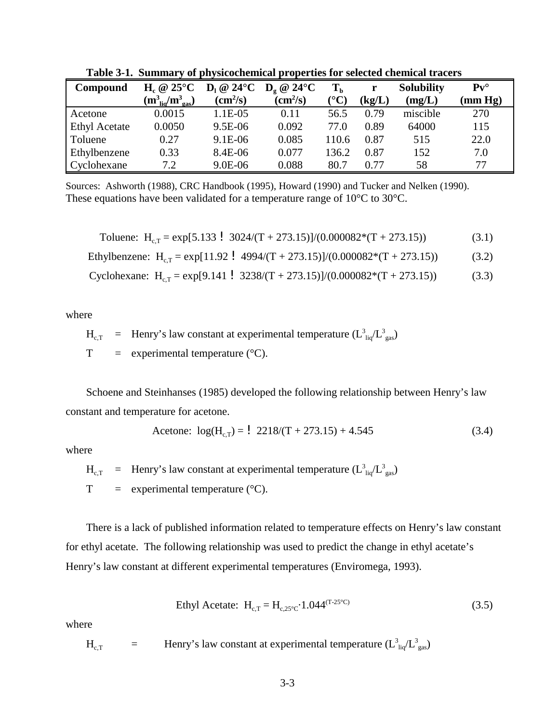| Compound             | $H_c \otimes 25^{\circ}C$             | $D_1 @ 24°C$             | $D_{\circ}$ @ 24°C       | T <sub>b</sub> |        | <b>Solubility</b> | $Pv^{\circ}$ |
|----------------------|---------------------------------------|--------------------------|--------------------------|----------------|--------|-------------------|--------------|
|                      | $(m_{\text{liq}}^3/m_{\text{gas}}^3)$ | $\text{(cm}^2\text{/s)}$ | $\text{(cm}^2\text{/s)}$ | ${}^{(0}C)$    | (kg/L) | (mg/L)            | (mm Hg)      |
| Acetone              | 0.0015                                | $1.1E-05$                | 0.11                     | 56.5           | 0.79   | miscible          | 270          |
| <b>Ethyl Acetate</b> | 0.0050                                | 9.5E-06                  | 0.092                    | 77.0           | 0.89   | 64000             | 115          |
| Toluene              | 0.27                                  | 9.1E-06                  | 0.085                    | 110.6          | 0.87   | 515               | 22.0         |
| Ethylbenzene         | 0.33                                  | 8.4E-06                  | 0.077                    | 136.2          | 0.87   | 152               | 7.0          |
| Cyclohexane          | 7.2                                   | 9.0E-06                  | 0.088                    | 80.7           | 0.77   | 58                | 77           |

**Table 3-1. Summary of physicochemical properties for selected chemical tracers**

Sources: Ashworth (1988), CRC Handbook (1995), Howard (1990) and Tucker and Nelken (1990). These equations have been validated for a temperature range of 10°C to 30°C.

Toluene: 
$$
H_{c,T} = \exp[5.133 \cdot 3024/(T + 273.15)]/(0.000082*(T + 273.15))
$$
 (3.1)

Ethylbenzene: H<sub>c,T</sub> = exp[11.92 ! 4994/(T + 273.15)]/(0.000082\*(T + 273.15)) (3.2)

Cyclohexane: Hc,T = exp[9.141 ! 3238/(T + 273.15)]/(0.000082\*(T + 273.15)) (3.3)

where

$$
H_{c,T}
$$
 = Henry's law constant at experimental temperature ( $L_{liq}^3/L_{gas}^3$ )

 $T =$  experimental temperature ( $°C$ ).

Schoene and Steinhanses (1985) developed the following relationship between Henry's law constant and temperature for acetone.

$$
\text{Acetone: } \log(\text{H}_{\text{c,T}}) = \frac{1}{2218/(T + 273.15) + 4.545} \tag{3.4}
$$

where

 $H_{\rm c, T}$  = Henry's law constant at experimental temperature  $(L_{\rm liq}^3/L_{\rm gas}^3)$  $T =$  experimental temperature ( $°C$ ).

There is a lack of published information related to temperature effects on Henry's law constant for ethyl acetate. The following relationship was used to predict the change in ethyl acetate's Henry's law constant at different experimental temperatures (Enviromega, 1993).

Ethyl Acetate: 
$$
H_{c,T} = H_{c,25^{\circ}C} \cdot 1.044^{(T-25^{\circ}C)}
$$
 (3.5)

where

 $H_{\rm c,T}$  = Henry's law constant at experimental temperature  $(L_{\rm liq}^3/L_{\rm gas}^3)$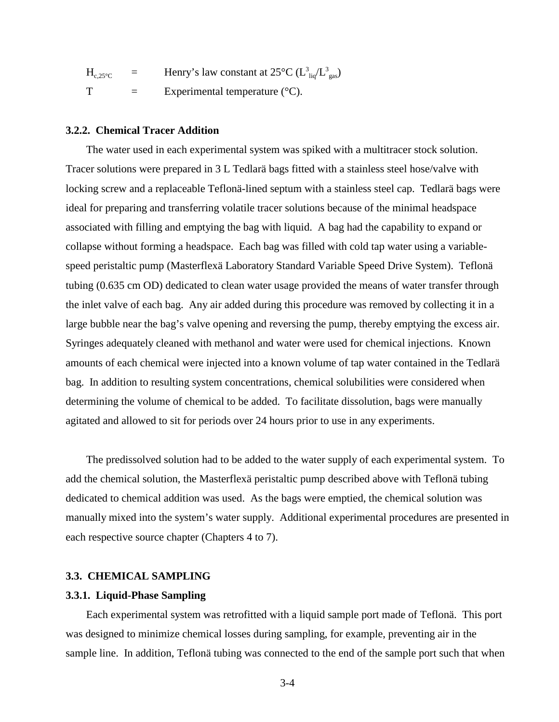$H_{c,25\degree C}$  = Henry's law constant at 25 $\degree C$  ( $L_{liq}^3/L_{gas}^3$ )  $T =$  Experimental temperature (°C).

## **3.2.2. Chemical Tracer Addition**

The water used in each experimental system was spiked with a multitracer stock solution. Tracer solutions were prepared in 3 L Tedlarä bags fitted with a stainless steel hose/valve with locking screw and a replaceable Teflonä-lined septum with a stainless steel cap. Tedlarä bags were ideal for preparing and transferring volatile tracer solutions because of the minimal headspace associated with filling and emptying the bag with liquid. A bag had the capability to expand or collapse without forming a headspace. Each bag was filled with cold tap water using a variablespeed peristaltic pump (Masterflexä Laboratory Standard Variable Speed Drive System). Teflonä tubing (0.635 cm OD) dedicated to clean water usage provided the means of water transfer through the inlet valve of each bag. Any air added during this procedure was removed by collecting it in a large bubble near the bag's valve opening and reversing the pump, thereby emptying the excess air. Syringes adequately cleaned with methanol and water were used for chemical injections. Known amounts of each chemical were injected into a known volume of tap water contained in the Tedlarä bag. In addition to resulting system concentrations, chemical solubilities were considered when determining the volume of chemical to be added. To facilitate dissolution, bags were manually agitated and allowed to sit for periods over 24 hours prior to use in any experiments.

The predissolved solution had to be added to the water supply of each experimental system. To add the chemical solution, the Masterflexä peristaltic pump described above with Teflonä tubing dedicated to chemical addition was used. As the bags were emptied, the chemical solution was manually mixed into the system's water supply. Additional experimental procedures are presented in each respective source chapter (Chapters 4 to 7).

# **3.3. CHEMICAL SAMPLING**

#### **3.3.1. Liquid-Phase Sampling**

Each experimental system was retrofitted with a liquid sample port made of Teflonä. This port was designed to minimize chemical losses during sampling, for example, preventing air in the sample line. In addition, Teflonä tubing was connected to the end of the sample port such that when

3-4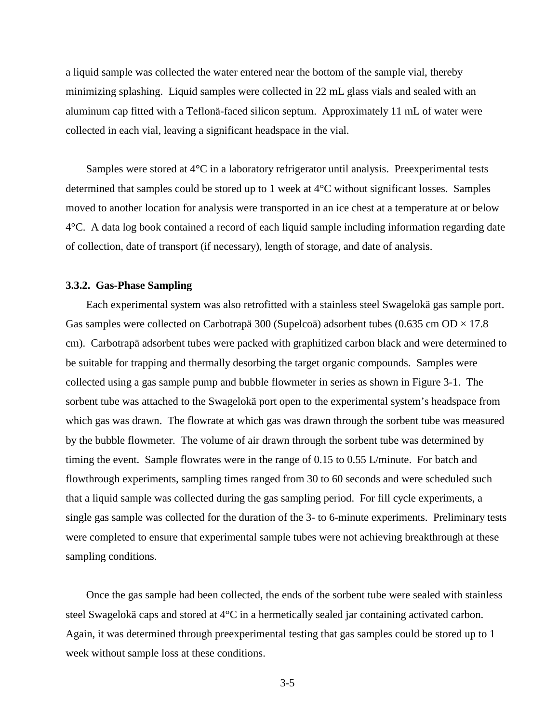a liquid sample was collected the water entered near the bottom of the sample vial, thereby minimizing splashing. Liquid samples were collected in 22 mL glass vials and sealed with an aluminum cap fitted with a Teflonä-faced silicon septum. Approximately 11 mL of water were collected in each vial, leaving a significant headspace in the vial.

Samples were stored at 4°C in a laboratory refrigerator until analysis. Preexperimental tests determined that samples could be stored up to 1 week at 4°C without significant losses. Samples moved to another location for analysis were transported in an ice chest at a temperature at or below 4°C. A data log book contained a record of each liquid sample including information regarding date of collection, date of transport (if necessary), length of storage, and date of analysis.

# **3.3.2. Gas-Phase Sampling**

Each experimental system was also retrofitted with a stainless steel Swagelokä gas sample port. Gas samples were collected on Carbotrapä 300 (Supelcoä) adsorbent tubes (0.635 cm OD  $\times$  17.8 cm). Carbotrapä adsorbent tubes were packed with graphitized carbon black and were determined to be suitable for trapping and thermally desorbing the target organic compounds. Samples were collected using a gas sample pump and bubble flowmeter in series as shown in Figure 3-1. The sorbent tube was attached to the Swagelokä port open to the experimental system's headspace from which gas was drawn. The flowrate at which gas was drawn through the sorbent tube was measured by the bubble flowmeter. The volume of air drawn through the sorbent tube was determined by timing the event. Sample flowrates were in the range of 0.15 to 0.55 L/minute. For batch and flowthrough experiments, sampling times ranged from 30 to 60 seconds and were scheduled such that a liquid sample was collected during the gas sampling period. For fill cycle experiments, a single gas sample was collected for the duration of the 3- to 6-minute experiments. Preliminary tests were completed to ensure that experimental sample tubes were not achieving breakthrough at these sampling conditions.

Once the gas sample had been collected, the ends of the sorbent tube were sealed with stainless steel Swagelokä caps and stored at 4°C in a hermetically sealed jar containing activated carbon. Again, it was determined through preexperimental testing that gas samples could be stored up to 1 week without sample loss at these conditions.

3-5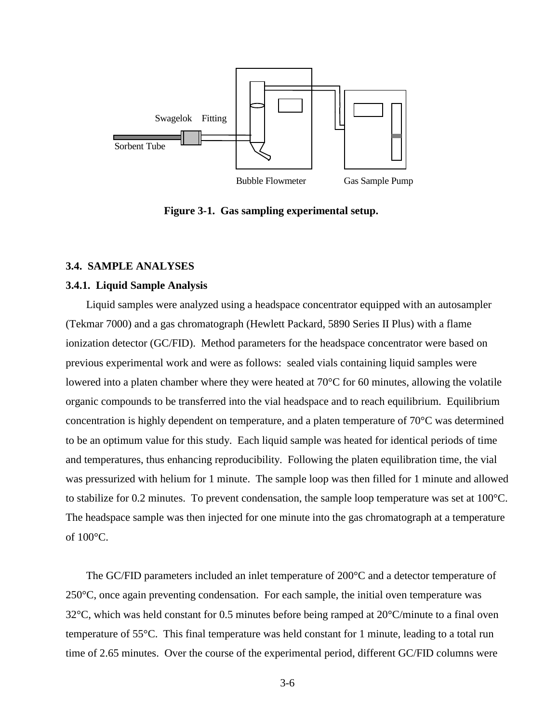

**Figure 3-1. Gas sampling experimental setup.**

# **3.4. SAMPLE ANALYSES**

# **3.4.1. Liquid Sample Analysis**

Liquid samples were analyzed using a headspace concentrator equipped with an autosampler (Tekmar 7000) and a gas chromatograph (Hewlett Packard, 5890 Series II Plus) with a flame ionization detector (GC/FID). Method parameters for the headspace concentrator were based on previous experimental work and were as follows: sealed vials containing liquid samples were lowered into a platen chamber where they were heated at 70°C for 60 minutes, allowing the volatile organic compounds to be transferred into the vial headspace and to reach equilibrium. Equilibrium concentration is highly dependent on temperature, and a platen temperature of 70°C was determined to be an optimum value for this study. Each liquid sample was heated for identical periods of time and temperatures, thus enhancing reproducibility. Following the platen equilibration time, the vial was pressurized with helium for 1 minute. The sample loop was then filled for 1 minute and allowed to stabilize for 0.2 minutes. To prevent condensation, the sample loop temperature was set at  $100^{\circ}$ C. The headspace sample was then injected for one minute into the gas chromatograph at a temperature of 100°C.

The GC/FID parameters included an inlet temperature of 200°C and a detector temperature of 250°C, once again preventing condensation. For each sample, the initial oven temperature was  $32^{\circ}$ C, which was held constant for 0.5 minutes before being ramped at  $20^{\circ}$ C/minute to a final oven temperature of 55°C. This final temperature was held constant for 1 minute, leading to a total run time of 2.65 minutes. Over the course of the experimental period, different GC/FID columns were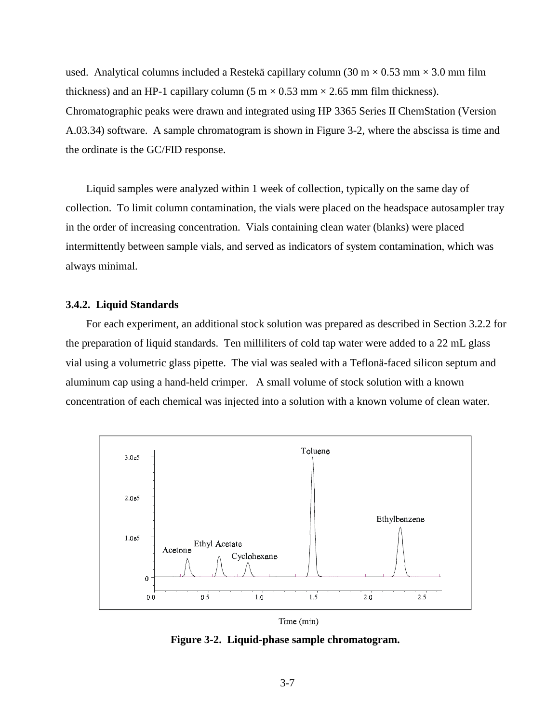used. Analytical columns included a Restekä capillary column (30 m  $\times$  0.53 mm  $\times$  3.0 mm film thickness) and an HP-1 capillary column  $(5 \text{ m} \times 0.53 \text{ mm} \times 2.65 \text{ mm film thickness})$ . Chromatographic peaks were drawn and integrated using HP 3365 Series II ChemStation (Version A.03.34) software. A sample chromatogram is shown in Figure 3-2, where the abscissa is time and the ordinate is the GC/FID response.

Liquid samples were analyzed within 1 week of collection, typically on the same day of collection. To limit column contamination, the vials were placed on the headspace autosampler tray in the order of increasing concentration. Vials containing clean water (blanks) were placed intermittently between sample vials, and served as indicators of system contamination, which was always minimal.

#### **3.4.2. Liquid Standards**

For each experiment, an additional stock solution was prepared as described in Section 3.2.2 for the preparation of liquid standards. Ten milliliters of cold tap water were added to a 22 mL glass vial using a volumetric glass pipette. The vial was sealed with a Teflonä-faced silicon septum and aluminum cap using a hand-held crimper. A small volume of stock solution with a known concentration of each chemical was injected into a solution with a known volume of clean water.



Time (min)

**Figure 3-2. Liquid-phase sample chromatogram.**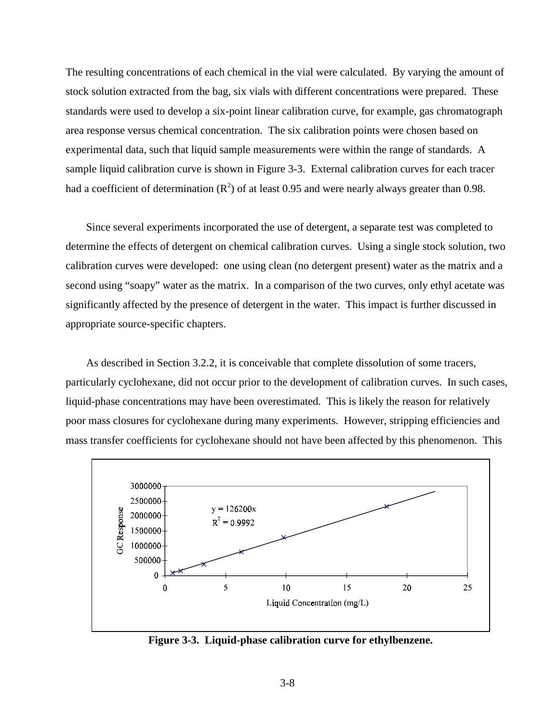The resulting concentrations of each chemical in the vial were calculated. By varying the amount of stock solution extracted from the bag, six vials with different concentrations were prepared. These standards were used to develop a six-point linear calibration curve, for example, gas chromatograph area response versus chemical concentration. The six calibration points were chosen based on experimental data, such that liquid sample measurements were within the range of standards. A sample liquid calibration curve is shown in Figure 3-3. External calibration curves for each tracer had a coefficient of determination  $(R^2)$  of at least 0.95 and were nearly always greater than 0.98.

Since several experiments incorporated the use of detergent, a separate test was completed to determine the effects of detergent on chemical calibration curves. Using a single stock solution, two calibration curves were developed: one using clean (no detergent present) water as the matrix and a second using "soapy" water as the matrix. In a comparison of the two curves, only ethyl acetate was significantly affected by the presence of detergent in the water. This impact is further discussed in appropriate source-specific chapters.

As described in Section 3.2.2, it is conceivable that complete dissolution of some tracers, particularly cyclohexane, did not occur prior to the development of calibration curves. In such cases, liquid-phase concentrations may have been overestimated. This is likely the reason for relatively poor mass closures for cyclohexane during many experiments. However, stripping efficiencies and mass transfer coefficients for cyclohexane should not have been affected by this phenomenon. This



**Figure 3-3. Liquid-phase calibration curve for ethylbenzene.**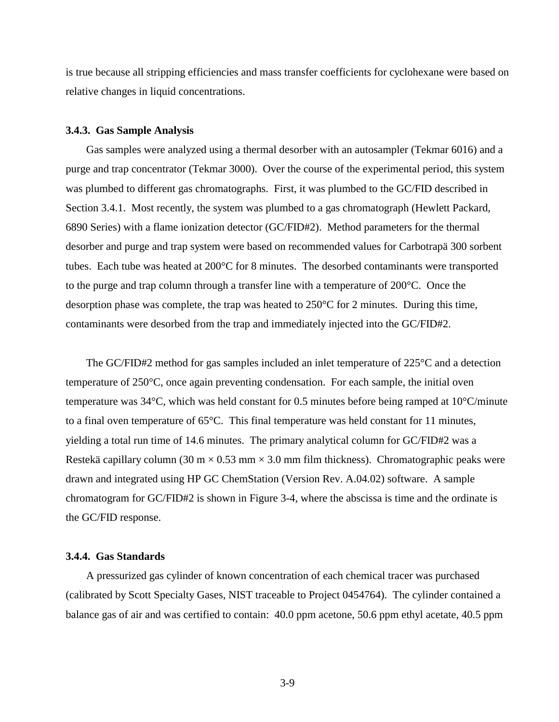is true because all stripping efficiencies and mass transfer coefficients for cyclohexane were based on relative changes in liquid concentrations.

# **3.4.3. Gas Sample Analysis**

Gas samples were analyzed using a thermal desorber with an autosampler (Tekmar 6016) and a purge and trap concentrator (Tekmar 3000). Over the course of the experimental period, this system was plumbed to different gas chromatographs. First, it was plumbed to the GC/FID described in Section 3.4.1. Most recently, the system was plumbed to a gas chromatograph (Hewlett Packard, 6890 Series) with a flame ionization detector (GC/FID#2). Method parameters for the thermal desorber and purge and trap system were based on recommended values for Carbotrapä 300 sorbent tubes. Each tube was heated at 200°C for 8 minutes. The desorbed contaminants were transported to the purge and trap column through a transfer line with a temperature of 200°C. Once the desorption phase was complete, the trap was heated to 250°C for 2 minutes. During this time, contaminants were desorbed from the trap and immediately injected into the GC/FID#2.

The GC/FID#2 method for gas samples included an inlet temperature of 225°C and a detection temperature of 250°C, once again preventing condensation. For each sample, the initial oven temperature was 34°C, which was held constant for 0.5 minutes before being ramped at 10°C/minute to a final oven temperature of 65°C. This final temperature was held constant for 11 minutes, yielding a total run time of 14.6 minutes. The primary analytical column for GC/FID#2 was a Restekä capillary column (30 m  $\times$  0.53 mm  $\times$  3.0 mm film thickness). Chromatographic peaks were drawn and integrated using HP GC ChemStation (Version Rev. A.04.02) software. A sample chromatogram for GC/FID#2 is shown in Figure 3-4, where the abscissa is time and the ordinate is the GC/FID response.

# **3.4.4. Gas Standards**

A pressurized gas cylinder of known concentration of each chemical tracer was purchased (calibrated by Scott Specialty Gases, NIST traceable to Project 0454764). The cylinder contained a balance gas of air and was certified to contain: 40.0 ppm acetone, 50.6 ppm ethyl acetate, 40.5 ppm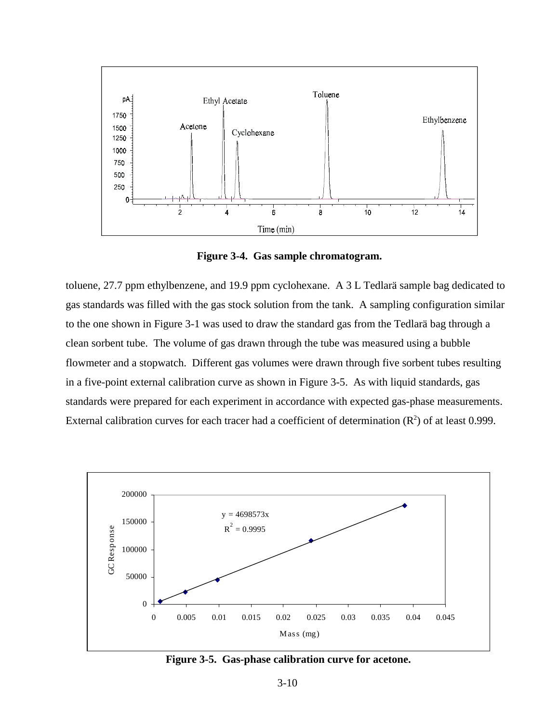

**Figure 3-4. Gas sample chromatogram.**

toluene, 27.7 ppm ethylbenzene, and 19.9 ppm cyclohexane. A 3 L Tedlarä sample bag dedicated to gas standards was filled with the gas stock solution from the tank. A sampling configuration similar to the one shown in Figure 3-1 was used to draw the standard gas from the Tedlarä bag through a clean sorbent tube. The volume of gas drawn through the tube was measured using a bubble flowmeter and a stopwatch. Different gas volumes were drawn through five sorbent tubes resulting in a five-point external calibration curve as shown in Figure 3-5. As with liquid standards, gas standards were prepared for each experiment in accordance with expected gas-phase measurements. External calibration curves for each tracer had a coefficient of determination  $(R^2)$  of at least 0.999.



**Figure 3-5. Gas-phase calibration curve for acetone.**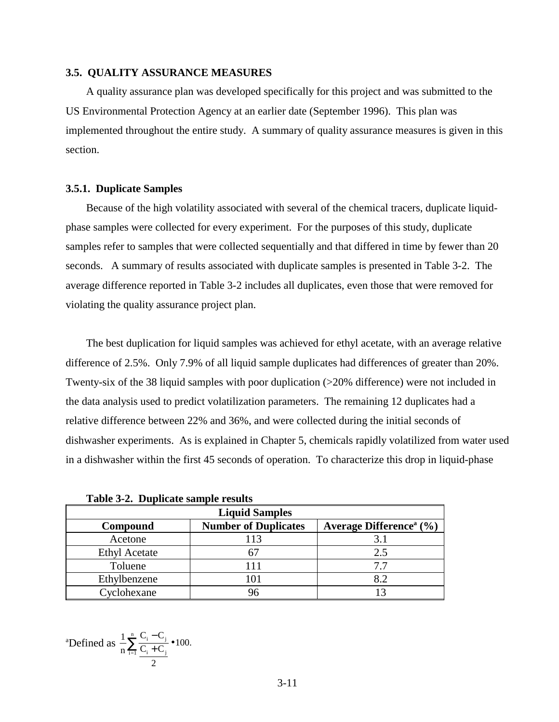#### **3.5. QUALITY ASSURANCE MEASURES**

A quality assurance plan was developed specifically for this project and was submitted to the US Environmental Protection Agency at an earlier date (September 1996). This plan was implemented throughout the entire study. A summary of quality assurance measures is given in this section.

#### **3.5.1. Duplicate Samples**

Because of the high volatility associated with several of the chemical tracers, duplicate liquidphase samples were collected for every experiment. For the purposes of this study, duplicate samples refer to samples that were collected sequentially and that differed in time by fewer than 20 seconds. A summary of results associated with duplicate samples is presented in Table 3-2. The average difference reported in Table 3-2 includes all duplicates, even those that were removed for violating the quality assurance project plan.

The best duplication for liquid samples was achieved for ethyl acetate, with an average relative difference of 2.5%. Only 7.9% of all liquid sample duplicates had differences of greater than 20%. Twenty-six of the 38 liquid samples with poor duplication (>20% difference) were not included in the data analysis used to predict volatilization parameters. The remaining 12 duplicates had a relative difference between 22% and 36%, and were collected during the initial seconds of dishwasher experiments. As is explained in Chapter 5, chemicals rapidly volatilized from water used in a dishwasher within the first 45 seconds of operation. To characterize this drop in liquid-phase

**Table 3-2. Duplicate sample results**

| <b>Liquid Samples</b> |                             |                                                 |  |  |  |
|-----------------------|-----------------------------|-------------------------------------------------|--|--|--|
| Compound              | <b>Number of Duplicates</b> | Average Difference <sup>a</sup> $(\frac{6}{6})$ |  |  |  |
| Acetone               | 113                         | 3.1                                             |  |  |  |
| <b>Ethyl Acetate</b>  |                             | 2.5                                             |  |  |  |
| Toluene               |                             | 77                                              |  |  |  |
| Ethylbenzene          | 101                         | 8.2                                             |  |  |  |
| Cyclohexane           |                             |                                                 |  |  |  |

<sup>a</sup>Defined as 
$$
\frac{1}{n} \sum_{i=1}^{n} \frac{C_i - C_j}{\frac{C_i + C_j}{2}}
$$
 **•** 100.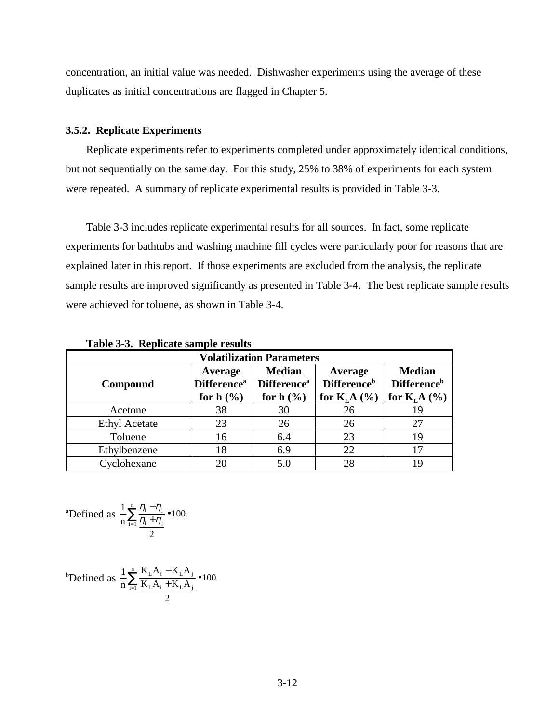concentration, an initial value was needed. Dishwasher experiments using the average of these duplicates as initial concentrations are flagged in Chapter 5.

# **3.5.2. Replicate Experiments**

Replicate experiments refer to experiments completed under approximately identical conditions, but not sequentially on the same day. For this study, 25% to 38% of experiments for each system were repeated. A summary of replicate experimental results is provided in Table 3-3.

Table 3-3 includes replicate experimental results for all sources. In fact, some replicate experiments for bathtubs and washing machine fill cycles were particularly poor for reasons that are explained later in this report. If those experiments are excluded from the analysis, the replicate sample results are improved significantly as presented in Table 3-4. The best replicate sample results were achieved for toluene, as shown in Table 3-4.

| Table 9 of Repheate sample results |                                                          |                                                                |                                                            |                                                                  |  |  |
|------------------------------------|----------------------------------------------------------|----------------------------------------------------------------|------------------------------------------------------------|------------------------------------------------------------------|--|--|
| <b>Volatilization Parameters</b>   |                                                          |                                                                |                                                            |                                                                  |  |  |
| Compound                           | Average<br><b>Difference</b> <sup>a</sup><br>for $h(\%)$ | <b>Median</b><br><b>Difference</b> <sup>a</sup><br>for $h(\%)$ | Average<br><b>Difference</b> <sup>b</sup><br>for $KLA$ (%) | <b>Median</b><br><b>Difference</b> <sup>b</sup><br>for $KLA$ (%) |  |  |
| Acetone                            | 38                                                       | 30                                                             | 26                                                         | 19                                                               |  |  |
| <b>Ethyl Acetate</b>               | 23                                                       | 26                                                             | 26                                                         | 27                                                               |  |  |
| Toluene                            | 16                                                       | 6.4                                                            | 23                                                         | 19                                                               |  |  |
| Ethylbenzene                       | 18                                                       | 6.9                                                            | 22                                                         | 17                                                               |  |  |
| Cyclohexane                        | 20                                                       | 5.0                                                            | 28                                                         | 19                                                               |  |  |

**Table 3-3. Replicate sample results**

<sup>a</sup>Defined as 
$$
\frac{1}{n} \sum_{i=1}^{n} \frac{\eta_i - \eta_j}{\frac{\eta_i + \eta_j}{2}}
$$
 **100.**

<sup>b</sup>Defined as 
$$
\frac{1}{n} \sum_{i=1}^{n} \frac{K_{L}A_{i} - K_{L}A_{j}}{K_{L}A_{i} + K_{L}A_{j}}
$$
  $\bullet$  100.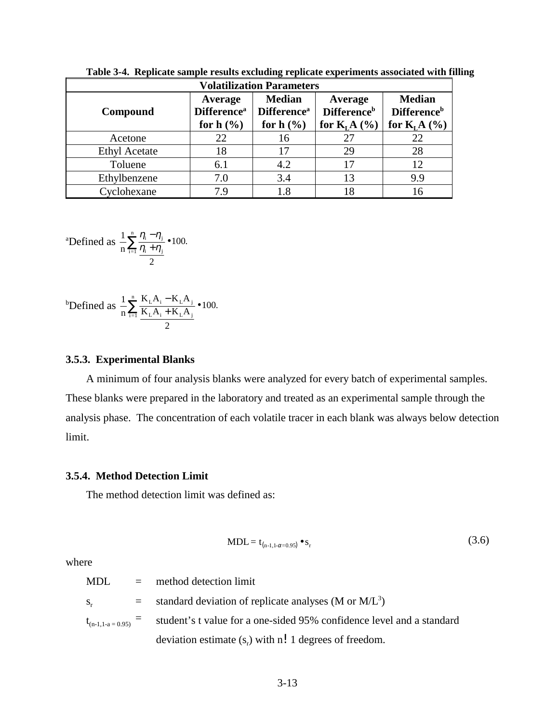| <b>Volatilization Parameters</b> |                                           |                                          |                                           |                                                 |  |
|----------------------------------|-------------------------------------------|------------------------------------------|-------------------------------------------|-------------------------------------------------|--|
| Compound                         | Average<br><b>Difference</b> <sup>a</sup> | <b>Median</b><br>Difference <sup>a</sup> | Average<br><b>Difference</b> <sup>b</sup> | <b>Median</b><br><b>Difference</b> <sup>b</sup> |  |
|                                  | for $h$ $(\frac{6}{6})$                   | for $h(\%)$                              | for $KLA$ (%)                             | for $KLA$ (%)                                   |  |
| Acetone                          | 22                                        | 16                                       | 27                                        | 22                                              |  |
| <b>Ethyl Acetate</b>             | 18                                        | 17                                       | 29                                        | 28                                              |  |
| Toluene                          | 6.1                                       | 4.2                                      | 17                                        | 12                                              |  |
| Ethylbenzene                     | 7.0                                       | 3.4                                      | 13                                        | 9.9                                             |  |
| Cyclohexane                      | 79                                        | 1.8                                      | 18                                        | 16                                              |  |

**Table 3-4. Replicate sample results excluding replicate experiments associated with filling**

<sup>a</sup>Defined as 
$$
\frac{1}{n} \sum_{i=1}^{n} \frac{\eta_i - \eta_j}{\frac{\eta_i + \eta_j}{2}} \bullet 100.
$$

<sup>b</sup>Defined as 
$$
\frac{1}{n} \sum_{i=1}^{n} \frac{K_L A_i - K_L A_j}{K_L A_i + K_L A_j}
$$
 **100.**

### **3.5.3. Experimental Blanks**

A minimum of four analysis blanks were analyzed for every batch of experimental samples. These blanks were prepared in the laboratory and treated as an experimental sample through the analysis phase. The concentration of each volatile tracer in each blank was always below detection limit.

#### **3.5.4. Method Detection Limit**

The method detection limit was defined as:

$$
MDL = t_{(n-1,1-\alpha=0.95)} \bullet s_r
$$
 (3.6)

where

MDL = method detection limit  $s_r$  = standard deviation of replicate analyses (M or M/L<sup>3</sup>)  $t_{(n-1,1-a=0.95)}$  = student's t value for a one-sided 95% confidence level and a standard deviation estimate  $(s_r)$  with n! 1 degrees of freedom.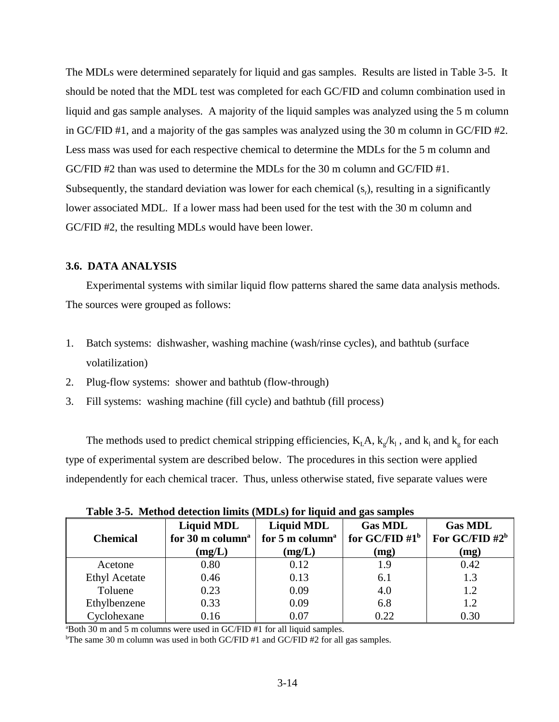The MDLs were determined separately for liquid and gas samples. Results are listed in Table 3-5. It should be noted that the MDL test was completed for each GC/FID and column combination used in liquid and gas sample analyses. A majority of the liquid samples was analyzed using the 5 m column in GC/FID #1, and a majority of the gas samples was analyzed using the 30 m column in GC/FID #2. Less mass was used for each respective chemical to determine the MDLs for the 5 m column and GC/FID #2 than was used to determine the MDLs for the 30 m column and GC/FID #1. Subsequently, the standard deviation was lower for each chemical  $(s<sub>r</sub>)$ , resulting in a significantly lower associated MDL. If a lower mass had been used for the test with the 30 m column and GC/FID #2, the resulting MDLs would have been lower.

# **3.6. DATA ANALYSIS**

Experimental systems with similar liquid flow patterns shared the same data analysis methods. The sources were grouped as follows:

- 1. Batch systems: dishwasher, washing machine (wash/rinse cycles), and bathtub (surface volatilization)
- 2. Plug-flow systems: shower and bathtub (flow-through)
- 3. Fill systems: washing machine (fill cycle) and bathtub (fill process)

The methods used to predict chemical stripping efficiencies,  $K<sub>L</sub>A$ ,  $k<sub>g</sub>/k<sub>l</sub>$ , and  $k<sub>l</sub>$  and  $k<sub>g</sub>$  for each type of experimental system are described below. The procedures in this section were applied independently for each chemical tracer. Thus, unless otherwise stated, five separate values were

| <b>Chemical</b>      | <b>Liquid MDL</b><br>for 30 m column <sup>a</sup><br>(mg/L) | <b>Liquid MDL</b><br>for 5 m column <sup>a</sup><br>(mg/L) | <b>Gas MDL</b><br>for GC/FID $#1^b$<br>(mg) | <b>Gas MDL</b><br>For GC/FID $#2^b$<br>(mg) |
|----------------------|-------------------------------------------------------------|------------------------------------------------------------|---------------------------------------------|---------------------------------------------|
| Acetone              | 0.80                                                        | 0.12                                                       | 1.9                                         | 0.42                                        |
| <b>Ethyl Acetate</b> | 0.46                                                        | 0.13                                                       | 6.1                                         | 1.3                                         |
| Toluene              | 0.23                                                        | 0.09                                                       | 4.0                                         | 1.2                                         |
| Ethylbenzene         | 0.33                                                        | 0.09                                                       | 6.8                                         | 1.2                                         |
| Cyclohexane          | 0.16                                                        | 0.07                                                       | 0.22                                        | 0.30                                        |

**Table 3-5. Method detection limits (MDLs) for liquid and gas samples**

a Both 30 m and 5 m columns were used in GC/FID #1 for all liquid samples.

<sup>b</sup>The same 30 m column was used in both GC/FID #1 and GC/FID #2 for all gas samples.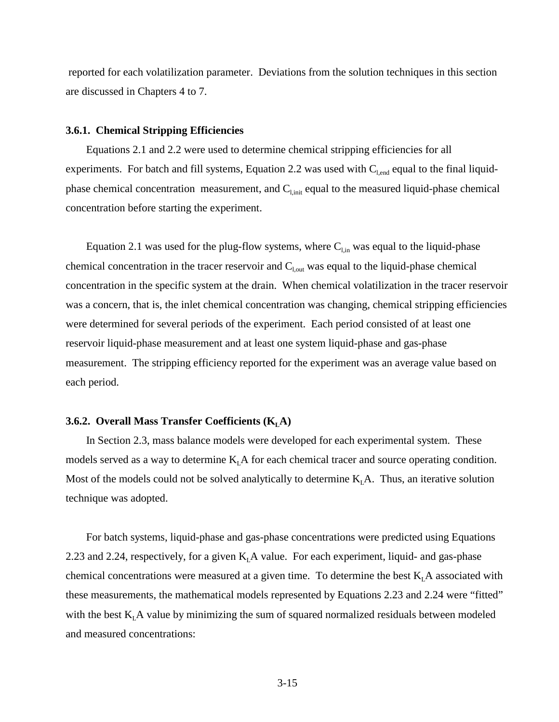reported for each volatilization parameter. Deviations from the solution techniques in this section are discussed in Chapters 4 to 7.

#### **3.6.1. Chemical Stripping Efficiencies**

Equations 2.1 and 2.2 were used to determine chemical stripping efficiencies for all experiments. For batch and fill systems, Equation 2.2 was used with  $C_{\text{l.end}}$  equal to the final liquidphase chemical concentration measurement, and  $C_{l,init}$  equal to the measured liquid-phase chemical concentration before starting the experiment.

Equation 2.1 was used for the plug-flow systems, where  $C_{\text{lin}}$  was equal to the liquid-phase chemical concentration in the tracer reservoir and  $C_{\text{l,out}}$  was equal to the liquid-phase chemical concentration in the specific system at the drain. When chemical volatilization in the tracer reservoir was a concern, that is, the inlet chemical concentration was changing, chemical stripping efficiencies were determined for several periods of the experiment. Each period consisted of at least one reservoir liquid-phase measurement and at least one system liquid-phase and gas-phase measurement. The stripping efficiency reported for the experiment was an average value based on each period.

#### **3.6.2. Overall Mass Transfer Coefficients (** $K<sub>L</sub>A$ **)**

In Section 2.3, mass balance models were developed for each experimental system. These models served as a way to determine  $K<sub>L</sub>A$  for each chemical tracer and source operating condition. Most of the models could not be solved analytically to determine  $K<sub>L</sub>A$ . Thus, an iterative solution technique was adopted.

For batch systems, liquid-phase and gas-phase concentrations were predicted using Equations 2.23 and 2.24, respectively, for a given  $K<sub>L</sub>A$  value. For each experiment, liquid- and gas-phase chemical concentrations were measured at a given time. To determine the best  $K<sub>L</sub>A$  associated with these measurements, the mathematical models represented by Equations 2.23 and 2.24 were "fitted" with the best  $K<sub>L</sub>A$  value by minimizing the sum of squared normalized residuals between modeled and measured concentrations: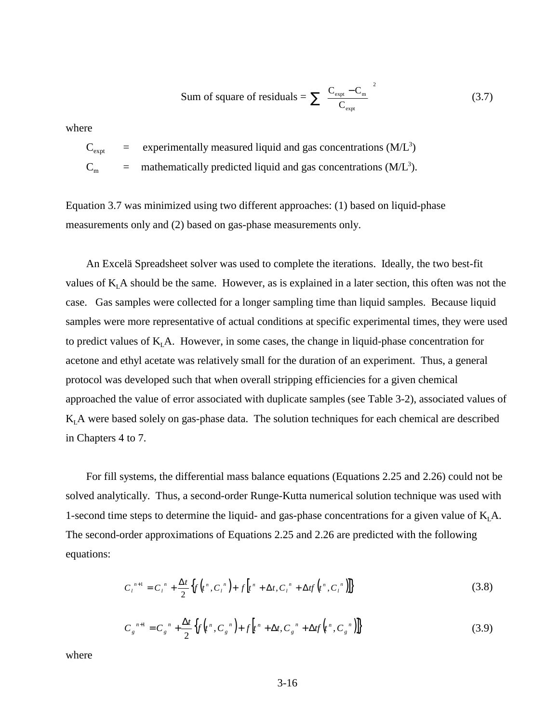Sum of square of residuals = 
$$
\sum \left( \frac{C_{\text{expt}} - C_{\text{m}}}{C_{\text{expt}}} \right)^2
$$
 (3.7)

where

 $C_{\text{expt}}$  = experimentally measured liquid and gas concentrations (M/L<sup>3</sup>)

 $C_m$  = mathematically predicted liquid and gas concentrations (M/L<sup>3</sup>).

Equation 3.7 was minimized using two different approaches: (1) based on liquid-phase measurements only and (2) based on gas-phase measurements only.

An Excelä Spreadsheet solver was used to complete the iterations. Ideally, the two best-fit values of  $K<sub>L</sub>A$  should be the same. However, as is explained in a later section, this often was not the case. Gas samples were collected for a longer sampling time than liquid samples. Because liquid samples were more representative of actual conditions at specific experimental times, they were used to predict values of  $K<sub>L</sub>A$ . However, in some cases, the change in liquid-phase concentration for acetone and ethyl acetate was relatively small for the duration of an experiment. Thus, a general protocol was developed such that when overall stripping efficiencies for a given chemical approached the value of error associated with duplicate samples (see Table 3-2), associated values of  $K<sub>I</sub>A$  were based solely on gas-phase data. The solution techniques for each chemical are described in Chapters 4 to 7.

For fill systems, the differential mass balance equations (Equations 2.25 and 2.26) could not be solved analytically. Thus, a second-order Runge-Kutta numerical solution technique was used with 1-second time steps to determine the liquid- and gas-phase concentrations for a given value of  $K<sub>L</sub>A$ . The second-order approximations of Equations 2.25 and 2.26 are predicted with the following equations:

$$
C_{t}^{n+1} = C_{t}^{n} + \frac{\Delta t}{2} \Big\{ f \Big( t^{n}, C_{t}^{n} \Big) + f \Big[ t^{n} + \Delta t, C_{t}^{n} + \Delta t f \Big( t^{n}, C_{t}^{n} \Big) \Big\} \tag{3.8}
$$

$$
C_{g}^{n+1} = C_{g}^{n} + \frac{\Delta t}{2} \left\{ f(r^{n}, C_{g}^{n}) + f(r^{n} + \Delta t, C_{g}^{n} + \Delta t f(r^{n}, C_{g}^{n})) \right\}
$$
(3.9)

where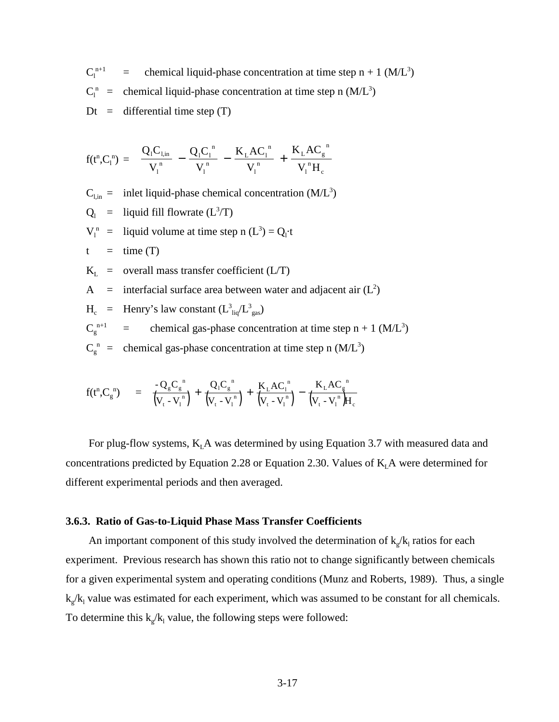$C_1^{n+1}$  $n+1$  = chemical liquid-phase concentration at time step n + 1 (M/L<sup>3</sup>)  $C_1^{\text{n}}$  = chemical liquid-phase concentration at time step n (M/L<sup>3</sup>)  $Dt =$  differential time step  $(T)$ 

$$
f(t^n,C_l^n) \,=\, \left[\frac{Q_l C_{l,in}}{V_l} \,-\, \frac{Q_l C_l^n}{V_l^n} \,-\, \frac{K_L A C_l^n}{V_l^n} \,+\, \frac{K_L A C_g^{\,\,n}}{V_l^n H_c}\right]
$$

 $C_{l,m}$  = inlet liquid-phase chemical concentration (M/L<sup>3</sup>)

 $Q_1$  = liquid fill flowrate (L<sup>3</sup>/T)

 $V_1^n$  = liquid volume at time step n  $(L^3) = Q_1 \cdot t$ 

 $t = \text{time (T)}$ 

 $K_L$  = overall mass transfer coefficient (L/T)

A = interfacial surface area between water and adjacent air  $(L^2)$ 

$$
H_c
$$
 = Henry's law constant  $(L_{liq}^3/L_{gas}^3)$ 

 $C_g^{n+1}$  $n+1$  = chemical gas-phase concentration at time step n + 1 (M/L<sup>3</sup>)

 $C_g^{n}$  = chemical gas-phase concentration at time step n (M/L<sup>3</sup>)

$$
f(t^{n}, C_{g}^{n}) = \left[ \frac{-Q_{g} C_{g}^{n}}{(V_{t} - V_{1}^{n})} + \frac{Q_{1} C_{g}^{n}}{(V_{t} - V_{1}^{n})} + \frac{K_{L} A C_{1}^{n}}{(V_{t} - V_{1}^{n})} - \frac{K_{L} A C_{g}^{n}}{(V_{t} - V_{1}^{n})H_{c}} \right]
$$

For plug-flow systems,  $K<sub>L</sub>A$  was determined by using Equation 3.7 with measured data and concentrations predicted by Equation 2.28 or Equation 2.30. Values of  $K<sub>L</sub>A$  were determined for different experimental periods and then averaged.

# **3.6.3. Ratio of Gas-to-Liquid Phase Mass Transfer Coefficients**

An important component of this study involved the determination of  $k_g / k_l$  ratios for each experiment. Previous research has shown this ratio not to change significantly between chemicals for a given experimental system and operating conditions (Munz and Roberts, 1989). Thus, a single  $k_g/k_l$  value was estimated for each experiment, which was assumed to be constant for all chemicals. To determine this  $k_g / k_l$  value, the following steps were followed: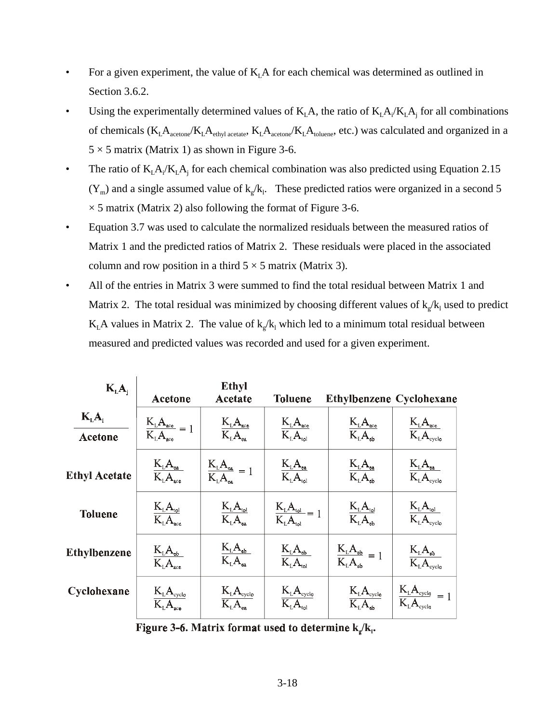- For a given experiment, the value of  $K<sub>L</sub>A$  for each chemical was determined as outlined in Section 3.6.2.
- Using the experimentally determined values of  $K<sub>L</sub>A$ , the ratio of  $K<sub>L</sub>A<sub>i</sub>/K<sub>L</sub>A<sub>j</sub>$  for all combinations of chemicals  $(K_LA_{\text{acetone}}/K_LA_{\text{ethyl acetate}}, K_LA_{\text{acetone}}/K_LA_{\text{toluene}},$  etc.) was calculated and organized in a  $5 \times 5$  matrix (Matrix 1) as shown in Figure 3-6.
- The ratio of  $K_L A_i/K_L A_j$  for each chemical combination was also predicted using Equation 2.15  $(Y_m)$  and a single assumed value of  $k_g/k_l$ . These predicted ratios were organized in a second 5  $\times$  5 matrix (Matrix 2) also following the format of Figure 3-6.
- Equation 3.7 was used to calculate the normalized residuals between the measured ratios of Matrix 1 and the predicted ratios of Matrix 2. These residuals were placed in the associated column and row position in a third  $5 \times 5$  matrix (Matrix 3).
- All of the entries in Matrix 3 were summed to find the total residual between Matrix 1 and Matrix 2. The total residual was minimized by choosing different values of  $k_g/k_l$  used to predict  $K<sub>L</sub>A$  values in Matrix 2. The value of  $k_g/k_l$  which led to a minimum total residual between measured and predicted values was recorded and used for a given experiment.

| $K_{L}A_{i}$                   | <b>Acetone</b>                                        | <b>Ethyl</b><br><b>Acetate</b>                                                             | <b>Toluene</b>                                      | <b>Ethylbenzene Cyclohexane</b>                    |                                                                                                          |
|--------------------------------|-------------------------------------------------------|--------------------------------------------------------------------------------------------|-----------------------------------------------------|----------------------------------------------------|----------------------------------------------------------------------------------------------------------|
| $K_{L}A_{i}$<br><b>Acetone</b> | $\frac{K_{L}A_{\text{ace}}}{K_{L}A_{\text{ace}}} = 1$ | $\frac{K_{L}A_{\text{ace}}}{K_{L}A_{\text{ea}}}$                                           | $\frac{K_{\rm L}A_{\rm ace}}{K_{\rm L}A_{\rm bol}}$ | $\frac{K_{L}A_{\text{ace}}}{K_{L}A_{\text{eh}}}$   | $\frac{K_{\rm L}A_{\rm ace}}{K_{\rm L}A_{\rm cvelo}}$                                                    |
| <b>Ethyl Acetate</b>           | $\frac{K_{\rm L}A_{\rm en}}{K_{\rm L}A_{\rm ace}}$    | $\frac{K_{L}A_{ea}}{K_{L}A_{ea}}=1$                                                        | $\frac{K_{\rm L}A_{\rm ea}}{K_{\rm L}A_{\rm tol}}$  | $\frac{K_{L}A_{ea}}{K_{L}A_{eb}}$                  | $\frac{\text{K}_{\text{\tiny L}}\text{A}_{\text{ea}}}{\text{K}_{\text{\tiny L}}\text{A}_{\text{cvelo}}}$ |
| <b>Toluene</b>                 | $\frac{K_{L}A_{\text{tol}}}{K_{L}A_{\text{acc}}}$     | $\frac{K_{L}A_{\text{tol}}}{K_{L}A_{\text{ea}}}.$                                          | $\frac{K_{L}A_{tol}}{K_{L}A_{tol}}=1$               | $\frac{K_{L}A_{tol}}{K_{L}A_{eb}}$                 | $\frac{K_{L}A_{\text{tol}}}{K_{L}A_{\text{cyclo}}}$                                                      |
| <b>Ethylbenzene</b>            | $\frac{K_{L}A_{eb}}{K_{L}A_{ace}}$                    | $\frac{\text{K}_{\text{L}}\text{A}_{\text{cb}}}{\text{K}_{\text{L}}\text{A}_{\text{ea}}}.$ | $\frac{K_{L}A_{eb}}{K_{L}A_{bol}}$                  | $\frac{K_L A_{eb}}{K_L A_{eb}} = 1$                | $\frac{K_{\rm L}A_{\rm eb}}{K_{\rm L}A_{\rm cyclo}}$                                                     |
| Cyclohexane                    | $\frac{K_{L}A_{\text{cyclo}}}{K_{L}A_{\text{ace}}}$   | $\frac{K_{L}A_{\text{cyclo}}}{K_{L}A_{\text{ea}}}$                                         | $\frac{K_{L}A_{\text{cyclo}}}{K_{L}A_{\text{tol}}}$ | $\frac{K_{L}A_{\text{cyclo}}}{K_{L}A_{\text{eb}}}$ | $\frac{K_{L}A_{\text{cycle}}}{K_{L}A_{\text{cycle}}} = 1$                                                |

Figure 3-6. Matrix format used to determine  $k_z/k_i$ .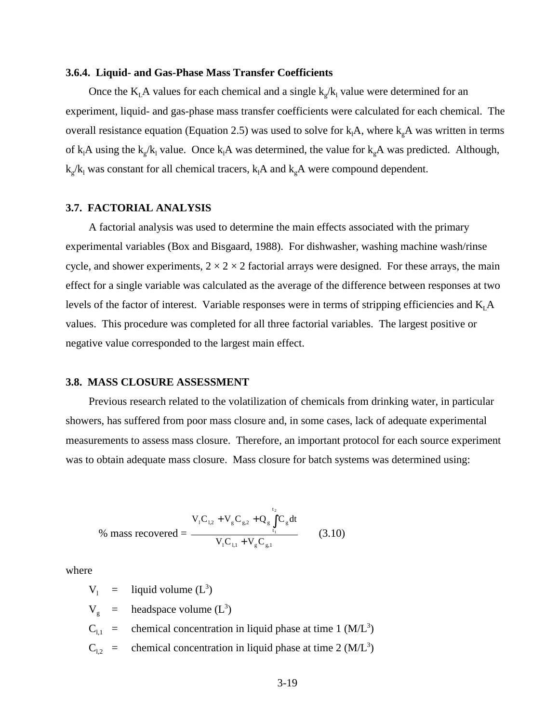#### **3.6.4. Liquid- and Gas-Phase Mass Transfer Coefficients**

Once the  $K<sub>L</sub>A$  values for each chemical and a single  $k_g/k_l$  value were determined for an experiment, liquid- and gas-phase mass transfer coefficients were calculated for each chemical. The overall resistance equation (Equation 2.5) was used to solve for  $k_1A$ , where  $k_gA$  was written in terms of  $k_1A$  using the  $k_g/k_1$  value. Once  $k_1A$  was determined, the value for  $k_gA$  was predicted. Although,  $k_g/k_l$  was constant for all chemical tracers,  $k_lA$  and  $k_gA$  were compound dependent.

# **3.7. FACTORIAL ANALYSIS**

A factorial analysis was used to determine the main effects associated with the primary experimental variables (Box and Bisgaard, 1988). For dishwasher, washing machine wash/rinse cycle, and shower experiments,  $2 \times 2 \times 2$  factorial arrays were designed. For these arrays, the main effect for a single variable was calculated as the average of the difference between responses at two levels of the factor of interest. Variable responses were in terms of stripping efficiencies and  $K<sub>L</sub>A$ values. This procedure was completed for all three factorial variables. The largest positive or negative value corresponded to the largest main effect.

# **3.8. MASS CLOSURE ASSESSMENT**

Previous research related to the volatilization of chemicals from drinking water, in particular showers, has suffered from poor mass closure and, in some cases, lack of adequate experimental measurements to assess mass closure. Therefore, an important protocol for each source experiment was to obtain adequate mass closure. Mass closure for batch systems was determined using:

% mass recovered = 
$$
\frac{V_{1}C_{1,2} + V_{g}C_{g,2} + Q_{g}\int_{t_{1}}^{t_{2}}C_{g}dt}{V_{1}C_{1,1} + V_{g}C_{g,1}}
$$
(3.10)

where

 $V_1$  = liquid volume (L<sup>3</sup>)  $V_g$  = headspace volume  $(L^3)$  $C_{1,1}$  = chemical concentration in liquid phase at time 1 (M/L<sup>3</sup>)  $C_{1,2}$  = chemical concentration in liquid phase at time 2 (M/L<sup>3</sup>)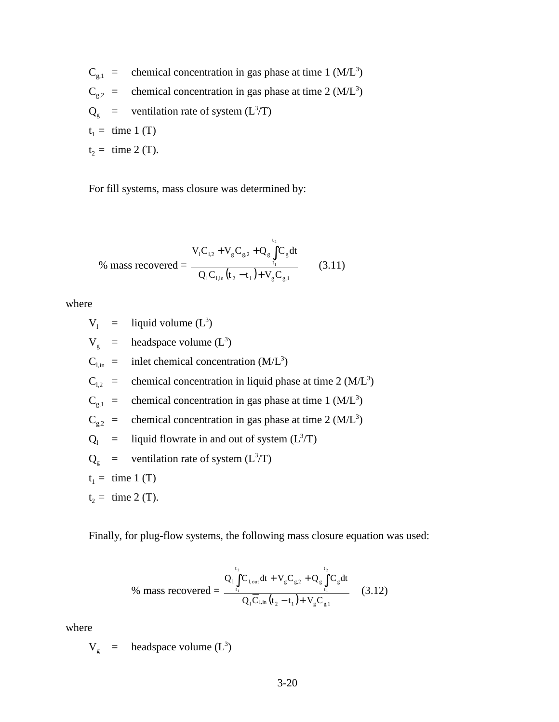$C_{g,1}$  = chemical concentration in gas phase at time 1 (M/L<sup>3</sup>)  $C_{g,2}$  = chemical concentration in gas phase at time 2 (M/L<sup>3</sup>)  $Q_g$  = ventilation rate of system ( $L^3/T$ )  $t_1 =$  time 1 (T)  $t_2 =$  time 2 (T).

For fill systems, mass closure was determined by:

$$
\% \text{ mass recovered} = \frac{V_{1}C_{1,2} + V_{g}C_{g,2} + Q_{g} \int_{t_{1}}^{t_{2}} C_{g} dt}{Q_{1}C_{1,in}(t_{2} - t_{1}) + V_{g}C_{g,1}} \qquad (3.11)
$$

where

$$
V_1 = liquid volume (L3)
$$
  
\n
$$
V_g = \text{headspace volume} (L3)
$$
  
\n
$$
C_{1,in} = \text{inlet chemical concentration} (M/L3)
$$
  
\n
$$
C_{1,2} = \text{chemical concentration in liquid phase at time 2 (M/L3)}
$$
  
\n
$$
C_{g,1} = \text{chemical concentration in gas phase at time 1 (M/L3)}
$$
  
\n
$$
C_{g,2} = \text{chemical concentration in gas phase at time 2 (M/L3)}
$$
  
\n
$$
Q_1 = \text{liquid flowrate in and out of system} (L3/T)
$$
  
\n
$$
Q_g = \text{ventional power of system} (L3/T)
$$
  
\n
$$
t_1 = \text{time 1 (T)}
$$
  
\n
$$
t_2 = \text{time 2 (T)}.
$$

Finally, for plug-flow systems, the following mass closure equation was used:

% mass recovered = 
$$
\frac{Q_1 \int_{t_1}^{t_2} C_{l,out} dt + V_g C_{g,2} + Q_g \int_{t_1}^{t_2} C_g dt}{Q_1 \overline{C}_{l,in} (t_2 - t_1) + V_g C_{g,1}}
$$
(3.12)

where

 $V_g$  = headspace volume  $(L^3)$